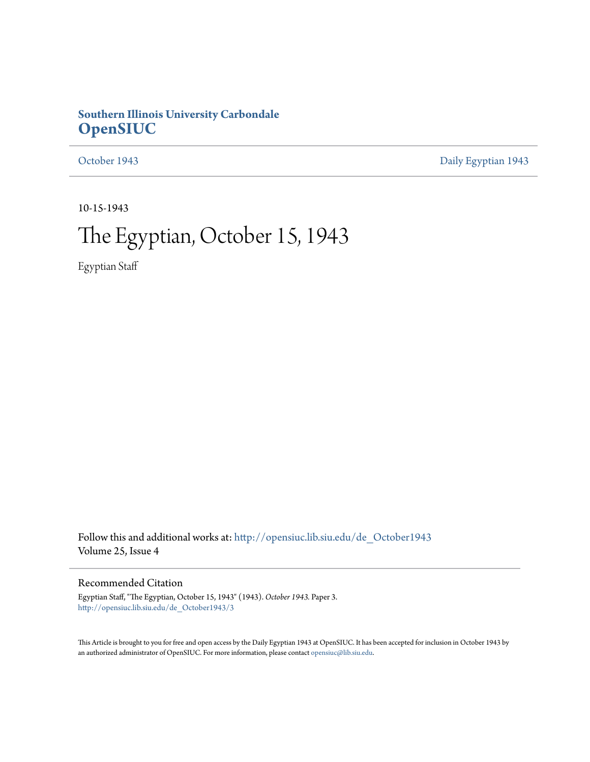## **Southern Illinois University Carbondale [OpenSIUC](http://opensiuc.lib.siu.edu?utm_source=opensiuc.lib.siu.edu%2Fde_October1943%2F3&utm_medium=PDF&utm_campaign=PDFCoverPages)**

[October 1943](http://opensiuc.lib.siu.edu/de_October1943?utm_source=opensiuc.lib.siu.edu%2Fde_October1943%2F3&utm_medium=PDF&utm_campaign=PDFCoverPages) [Daily Egyptian 1943](http://opensiuc.lib.siu.edu/de_1943?utm_source=opensiuc.lib.siu.edu%2Fde_October1943%2F3&utm_medium=PDF&utm_campaign=PDFCoverPages)

10-15-1943

# The Egyptian, October 15, 1943

Egyptian Staff

Follow this and additional works at: [http://opensiuc.lib.siu.edu/de\\_October1943](http://opensiuc.lib.siu.edu/de_October1943?utm_source=opensiuc.lib.siu.edu%2Fde_October1943%2F3&utm_medium=PDF&utm_campaign=PDFCoverPages) Volume 25, Issue 4

## Recommended Citation

Egyptian Staff, "The Egyptian, October 15, 1943" (1943). *October 1943.* Paper 3. [http://opensiuc.lib.siu.edu/de\\_October1943/3](http://opensiuc.lib.siu.edu/de_October1943/3?utm_source=opensiuc.lib.siu.edu%2Fde_October1943%2F3&utm_medium=PDF&utm_campaign=PDFCoverPages)

This Article is brought to you for free and open access by the Daily Egyptian 1943 at OpenSIUC. It has been accepted for inclusion in October 1943 by an authorized administrator of OpenSIUC. For more information, please contact [opensiuc@lib.siu.edu.](mailto:opensiuc@lib.siu.edu)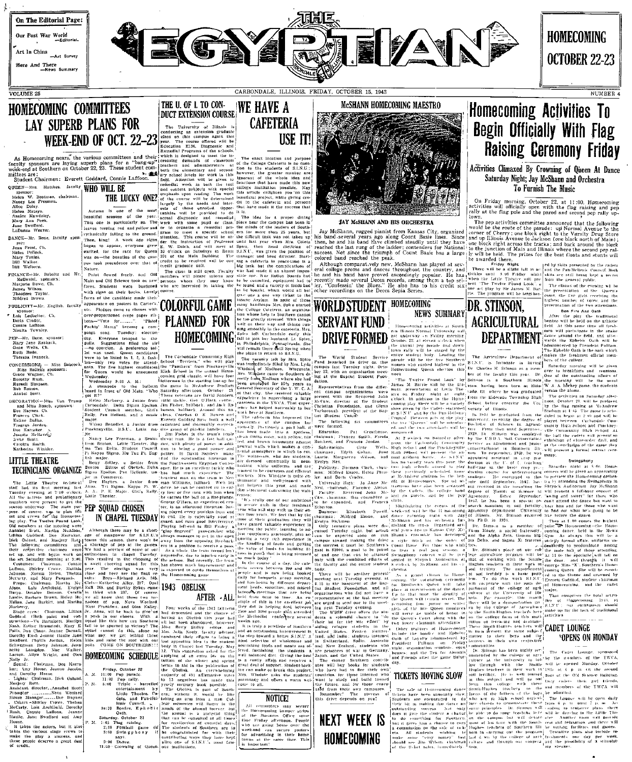

Here And There<br>-News Summary

VOLUME 25

# HOMECOMING COMMITTEES **LAY SUPERB PLANS FOR**<br>
WEEK-END OF OCT. 22-23<br>
The transform over of the sixteed of the state of the state of the state of the state of the state of the state of the state of the state of the state of the state and the s **LAY SUPERB PLANS FOR**

sor:<br>-W. Boatman, chairman.<br>- Lee Freeman. Nancy Lee Freem<br>Alice Doley.<br>Helen Matayn.<br>Analee Mawdsiey.<br>Mary Ann Peek.<br>Jane Swofford.<br>LaDonna Weaver.

DANCE-Mr. Bone, faculty spon

Jean Frost, Ch.<br>Helen Pellock. Nary Tonini.<br>Bill Walker.<br>Bill Welborn

FINANCE-Mr. Buboltz and Mr.<br>McDautel, sponsors:<br>Marjorie Dawe, Ch.<br>James Wilson.<br>Theodore Taylor.

enses at the meteors and with a Bonda and the state of the state of the state of the state of the state of the state of the state of the state of the state of the state of the state of the state of the state of the state

ce create (maintan, Lillian Jet, Anna, will be back to give via<br>
ind. (Both paint and con- a pass in our cheers. With a<br>
idon--Ve Bartellow is pass in our cheers. With a<br>
idon--Ve Bartellow is considered like this how can

Chairman, Dee Karra-<br>| House, Jeanne Jacobs,<br>| Honse.<br>| Chairman, Dick Osland.

- natz.<br>it director\_Annabel Scott 

ouse.<br>It takes the netors, but it also<br>kes the various stage crews to<br>ke the play a success, and<br>ese people descrve a great deal

DUCT EXTENSION COURSE WE HAVE A **CAFETERIA** exact location and purpose

G

of the College Cafeteria is no question to the students of S.I.N.U. college institution possiu<br>this article enlighten you<br>beneficial project, while gi<br>dit to the cafeteria and

CARBONDALE, ILLINOIS, FRIDAY, OCTOBER 15, 1943

USE IT!

**WHO WILL BE**<br> **EVERY ONE CONTROLLED FORM** INTEGRATION INTEGRAL CONTROLLED INSTRUCTED IN THE CONTROLLED TO THE CONTROLLED TO THE CONTROLLED TO THE CONTROLLED TO THE CONTROLLED TO THE CONTROLLED TO THE CONTROLLED TO THE CO

Nature.<br>
Nature et al. (2011) and the case is still be one ing a carteeria in peace sime is<br>
the case is still present int,<br>
The class is still present Paulty was had one of in almost important<br>  $\begin{bmatrix}\n\text{R} & \text{R} \\
\text{R} &$ 

(b)  $\frac{1}{2}$ <br>  $\frac{1}{2}$ <br>  $\frac{1}{2}$ <br>  $\frac{1}{2}$ <br>  $\frac{1}{2}$ <br>  $\frac{1}{2}$ <br>  $\frac{1}{2}$ <br>  $\frac{1}{2}$ <br>  $\frac{1}{2}$ <br>  $\frac{1}{2}$ <br>  $\frac{1}{2}$ <br>  $\frac{1}{2}$ <br>  $\frac{1}{2}$ <br>  $\frac{1}{2}$ <br>  $\frac{1}{2}$ <br>  $\frac{1}{2}$ <br>  $\frac{1}{2}$ <br>  $\frac{1}{2}$ <br>  $\frac{1}{2}$ <br>  $\frac{1}{2}$ 

An IMP + ALL sample of this contribute the 1943 following the distribution<br>in the chance of 2500 and 3000 in the chance of 2500 and 3000<br>18k this year had the McModist<br>andomed, however, weeks are<br>the the

 ${\bf H}({\bf OMECOMING-SCHEDDILLE}) {\bf H}({\bf OME COMES-SCHEDDILLE}) {\bf H}({\bf OME COMES-SCHEDDILLE}) {\bf H}({\bf OME COMES-SCHEDDILLE}) {\bf H}({\bf OME COMES-SCHEDDILLE}) {\bf H}({\bf OME COMES-SCHEDDILLE}) {\bf H}({\bf OME COMES-SCHEDDILLE}) {\bf H}({\bf OME COMES-SCHEDDILLE}) {\bf H}({\bf OME COMES-SCHEDDILLE}) {\bf H}({\bf OME COMES-SCHEDDILLE}) {\bf H}({\bf OME COMES-SCHEDDILLE}) {\bf H}({\bf OME COMES-SCHEDDILLE}) {\bf H}$ nowever.<br>or∴ and<br>advisor and an automobilism in<br>provenient in converted in the step (bound a better S.I.N.U. A land, and limit<br>a. instead in the step (bound in the step (bound in the step (bound in<br>the step (bound in the step (bound in the step o



 $\mathscr{A}$ 





## **Homecoming Activities To Begin Officially With Flag Raising Ceremony Friday**

**HOMECOMING** 

**OCTOBER 22-23** 

NUMBER 4

### Activities Climaxed By Crowning of Queen At Dance Saturday Night; Jay McShann and Orchestra To Furnish The Music

On Friday morning, October 22, at 11:00. Homecoming<br>activities will officially open with the flag raising and pep<br>rally at the flag pole and the pared and second pep rally up-

**EXERCISE AND AND HIS ORCHESTRA**<br>
TRUP at the flag pole and the pared and second pep rally up-<br>
16XY MGBLANN AND HIS ORCHESTRA<br>
The pep activities committee announced that the following<br>
The band as overally and the parti

he prod

the presentation of the Queen's<br>court, the five girls receiving the<br>highest number of votes, and the<br>presentation of the two attendants DR. STINSON,

**EXECUTE TO ACCEPT THE CONTRACT CONTRACT AND ALL CONTRACT CONTRACT OF A CONTRACT ON A CONTRACT ON A CONTRACT ON A CONTRACT ON A CONTRACT ON A CONTRACT ON A CONTRACT ON A CONTRACT ON A CONTRACT ON A CONTRACT ON A CONTRACT** The Agriculture Department of makes the freshm

me turn [F Arrivalum in the particular of the college<br>of the college of the College and the state of the College and the particular state of the College and the<br>solution of the particular on the particular of the collecti

duled to began at 2 ob eviving the degree of played beyond at Science in Agricule manity High School<br>then until September, annually High School ptennet, sile Community High School<br>ptennet, sile Community High School<br>mployed and your

1 and section a  $\frac{1}{2}$  in . Similarly, and the part of the main half of those streamly part will be used the section of the Similar of the Similar Similar Similar Similar Similar Similar Similar Similar Similar Similar

partment of the college of agric and then continue and the cubic resulting at the University of the limited result of the state and the state and the state and the state of the state of the state of the state of the state

The contract of the same state of the contract of the contract of the contract of the contract of the contract of the contract of the contract of the contract of the contract of the contract of the contract of the contrac

dramar

`<br>‴The I<br>∽mi G onstrate the ates Anather toom will provide real and relaxation, and there we<br>he writing facilities and gauses in the writing facilities and gauses<br>free plans also be<br>telede plans and the prosibility of a stimulate and the prosibility





Their bit in matching this case and our property of our gradient and only to the state of the state of the state of the state of the state of the state of the state of the state of the state of the state of the state. All a change

on en any constant de la partie de la partie de la partie de la partie de la partie de la partie de la partie de la partie de la partie de la partie de la partie de la partie de la partie de la partie de la partie de la p

as chairman the community of the China of the China of the China of the China of the China of the China of the China of the China of the China of the China of the China of the China of The China of The China of China of Ch

orena<br>Dr. Stins⊾n as<br>'nem Houde, π soi use, a social frateruity, coming<br>Alpha Zeta, Gaunna Sig Cym<br>, and Sigma Xi fraterui strieds

## TICKETS MOVING SLOW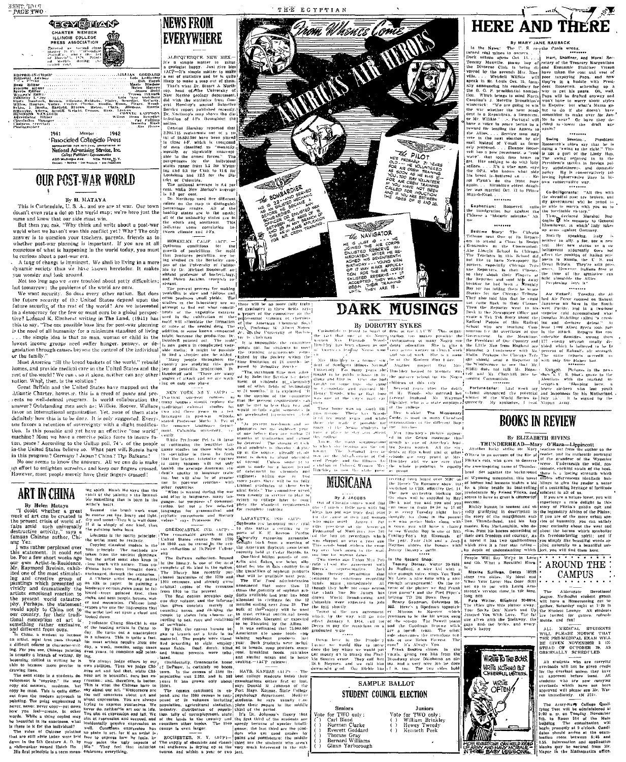



THE ECYPTIAN

<u>rom. Mhemee Co</u>r

**MINS ARTIFULL** 



# HERE AND THERE

By MARY JANE RAUBACK

In the News; The U.S. The MARY JANE RADSACK (AUSA CONTRACT)<br>
In the California of the Case of the Case of the Case of the Case of the Case of the Case of the BNO<br>create the DV of the Shelty of the Figure of the Transversi

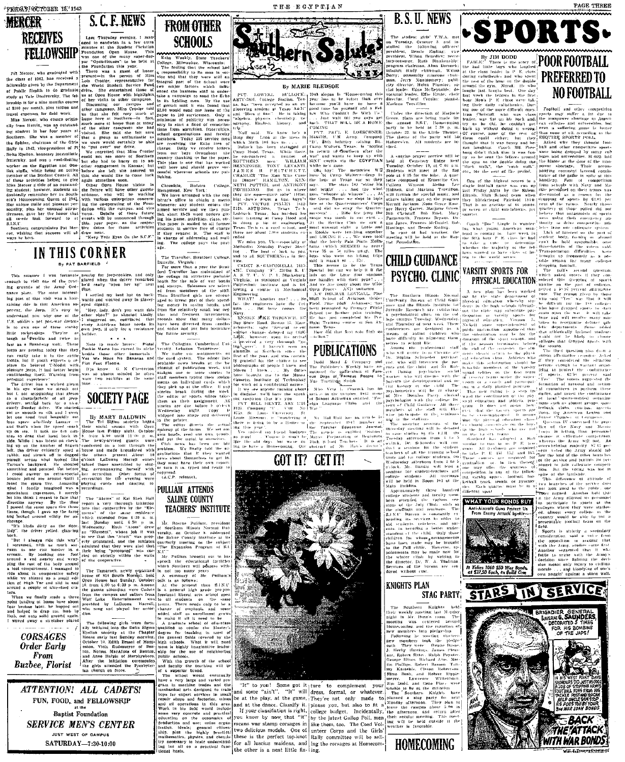

not Marcon who graduated with rat Melcer, who graduated with<br>the class of 1942, has received a to do graduate 

.<br>sestabilos Dal Mor

IN THIS CORNER

 $stration$ 

**By PAT BARFIELD** 

**S. C. F. NEWS FROM OTHER** Less Thursday evening. I man<br>eed to sandwich in a few extre **SCHOOLS** 

 $\begin{array}{ll}\n\text{and } & \text{and } & \text{if } & \text{and } \\
\text{and both } & \text{if } & \text{if } & \text{if } & \text{if } \\
\text{and } & \text{if } & \text{if } & \text{if } \\
\text{then } & \text{if } & \text{if } & \text{if } \\
\text{then } & \text{if } & \text{if } & \text{if } & \text{if } \\
\text{and } & \text{if } & \text{if } & \text{if } & \text{if } \\
\text{and } & \text{if } & \text{if } & \text{if } & \text{if } \\
\text{and } & \text{if } & \text{if } & \$ Bing that the scace...<br>sibility to its man in ser-<br>that they were still as<br>part of the actool which influ<br>for factors which influ<br>for factors which influ

an is one that<br>so and choule

Chronicle, Hofst<br>Hempstead, New You<br>We have arranged quest a. ...<br>of addressing

I was fortunate pearby for jeep-rookies, and<br>one of the prov. glared when the driver reman<br>I the Army Ord he'd really "open her up" e Army Unit (That<br>
mean interest-<br>
in was a hair-<br>
wards and weaveled away in plane<br>
Ancertenn sub-levels district.<br>
The case is less the subsection of the should like<br>
yone of the other sheet" he should be<br>
severn distrib  $max$ 

**SOCIETY PAGE** 

By MARY BALDWIN<br>The Tri Sigma secority begand<br>the social season with Open ance به سیست.<br>http://w er accordion. Other form forms ing cards and denting v<br>raing cards and denting<br>raings.

Atoms" of Kai Shek Hall<br>very thorough Initiation<br>cooperative by the "Ele-<br>of the stane residence

of \$14 South North en House hast Sunday.<br>from 4:00 to 6:39 p n

**Bud** 

and Anne Halpin of<br>After the initiation<br>the givis attended in

es mass, as napped one<br>of to drap me, hinb by<br>onto solid ground again nway a stretcher plac

**CORSAGES Order Early** From **Buzbee, Florist** 

ATTENTION! ALL CADETS! FUN, FOOD, and FELLOWSHIP **Baptist Foundation SERVICE MEN'S CENTER** JUST WEST OF CAMPUS

SATURDAY-7:30-10:00



### PULLIAM ATTENDS SALINE COUNTY **TEACHERS' INSTITUTE**

**Daillows** 



### By MARIE BLEDSOE

history

-<br>BULLOCK: 1943 slogan Is<br>istion. Tex- year has to be

35 or 50 miles nway. The who went on history trips<br>the went on history Fig. . .<br>It wasn't so . . . Fig.<br>is seens to be the Texas<br>at but can we help it if the con-<br>on the Lone Star stations. This **Activ** 

**PUBLICATIONS** 

## **GOT IT? GET IT!**

"ain't' "It" will dress formal play, at the game, They at the dance. Classify it | please you, but also to fit If your classifiation is right,<br>ou know by now that "it" college budget. by the latest Gallop Poll, men cans war stamp corsages in like them, too. The Coed Voltwo delicious models. One of unteer Corps and the Girls'<br>these is the perfect top-knot Rally committee will be sellfor all luscius maidens, and ing the coranges at Homecom-<br>the other is a neat little fix-<br>ling.



**CHILD GUIDANCE** 

**KNIGHTS PLAN STAG PARTY** 

## **HOMECOMING**

**EXECUTE THE SECOND CONSUMING THE SECOND TERM IN THE SECOND ACTION**<br>are but little bays who laughed the reass leader in P E. class who laughed<br>uring cultatively and who spent uring cultatively and who spent<br>ranged of the h

## PSYCHO. CLINIC VARSITY SPORTS FOR PHYSICAL EDUCATION



STARS IN SERVICE





stadent ideas





tak<br>Dur